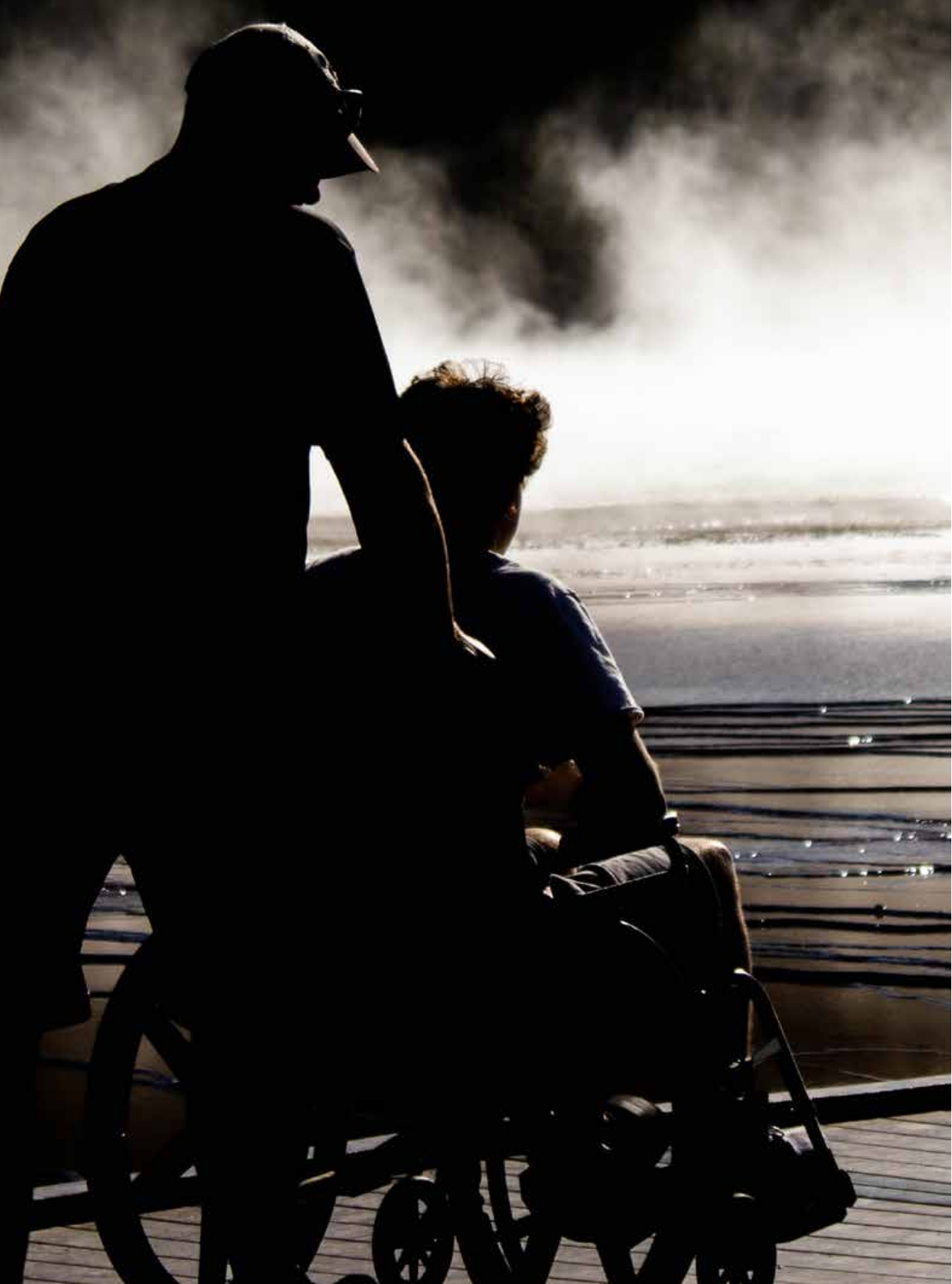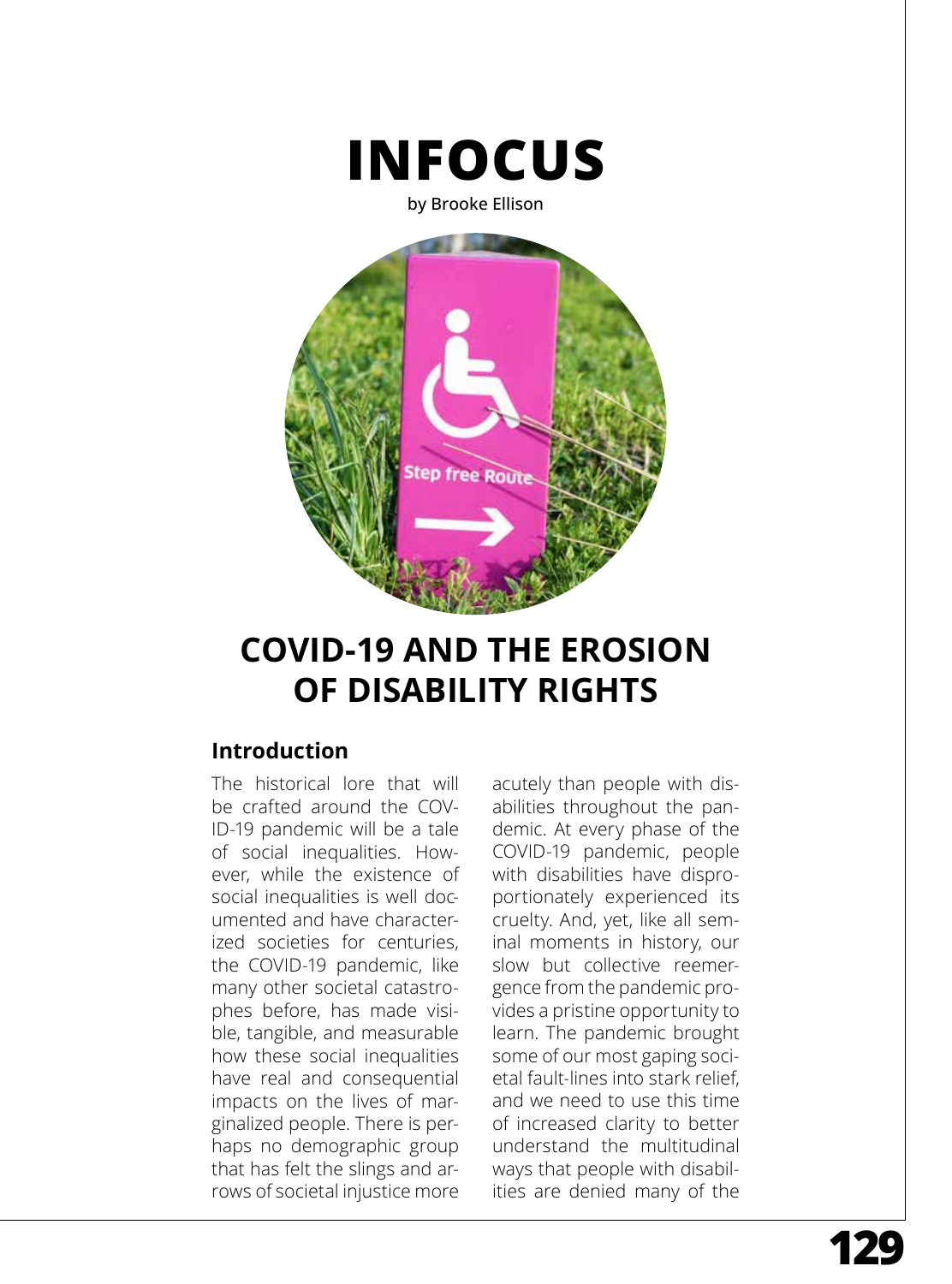

by Brooke Ellison



# **COVID-19 AND THE EROSION OF DISABILITY RIGHTS**

#### **Introduction**

The historical lore that will be crafted around the COV-ID-19 pandemic will be a tale of social inequalities. However, while the existence of social inequalities is well documented and have characterized societies for centuries, the COVID-19 pandemic, like many other societal catastrophes before, has made visible, tangible, and measurable how these social inequalities have real and consequential impacts on the lives of marginalized people. There is perhaps no demographic group that has felt the slings and arrows of societal injustice more

acutely than people with disabilities throughout the pandemic. At every phase of the COVID-19 pandemic, people with disabilities have disproportionately experienced its cruelty. And, yet, like all seminal moments in history, our slow but collective reemergence from the pandemic provides a pristine opportunity to learn. The pandemic brought some of our most gaping societal fault-lines into stark relief, and we need to use this time of increased clarity to better understand the multitudinal ways that people with disabilities are denied many of the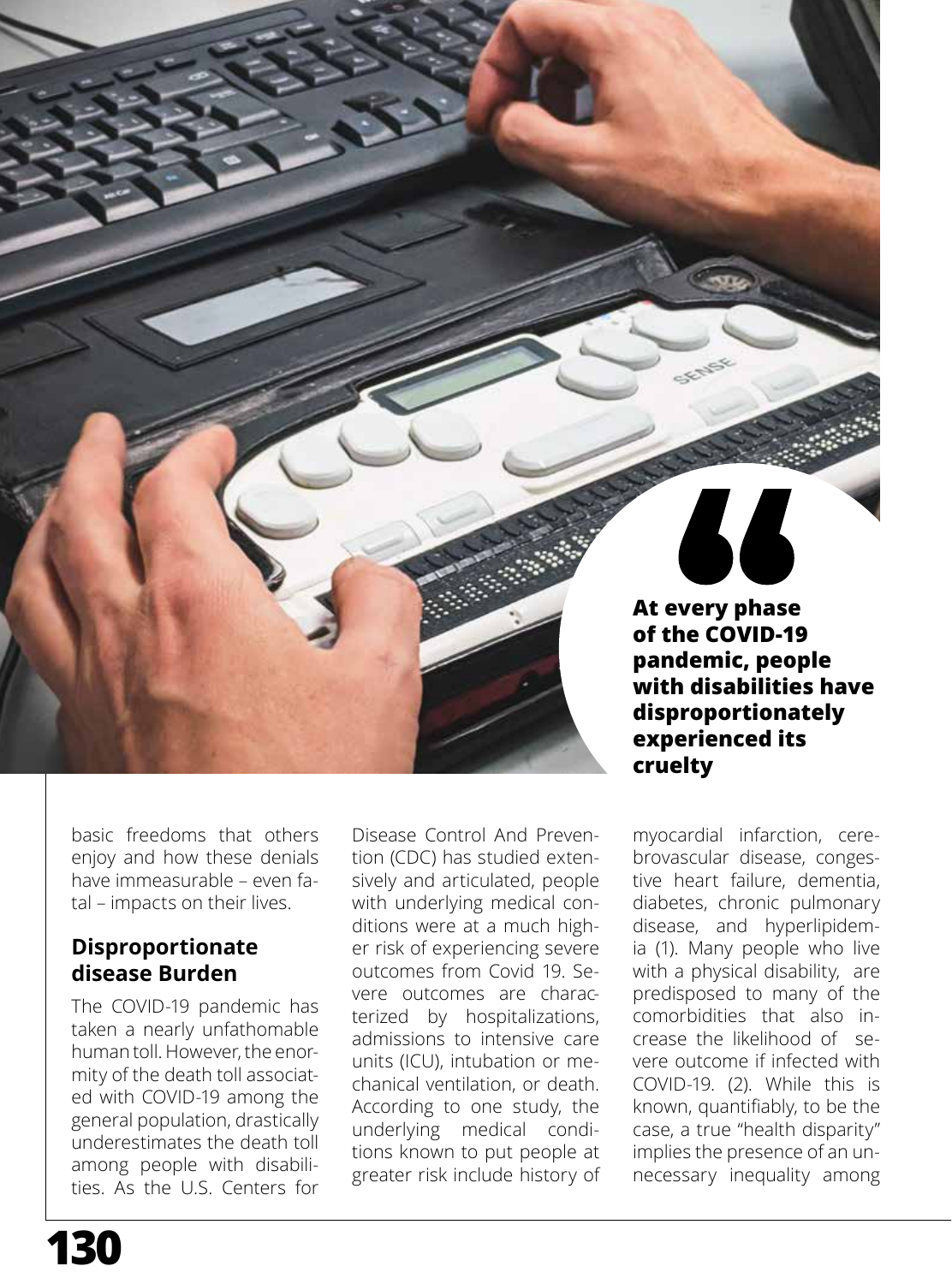basic freedoms that others enjoy and how these denials have immeasurable – even fatal – impacts on their lives.

 $\sim$  19 and the erosion of disability rights rights rights rights rights respectively.

#### **Disproportionate disease Burden**

The COVID-19 pandemic has taken a nearly unfathomable human toll. However, the enormity of the death toll associated with COVID-19 among the general population, drastically underestimates the death toll among people with disabilities. As the U.S. Centers for

Disease Control And Prevention (CDC) has studied extensively and articulated, people with underlying medical conditions were at a much higher risk of experiencing severe outcomes from Covid 19. Severe outcomes are characterized by hospitalizations, admissions to intensive care units (ICU), intubation or mechanical ventilation, or death. According to one study, the underlying medical conditions known to put people at greater risk include history of **At every phase of the COVID-19 pandemic, people with disabilities have disproportionately experienced its cruelty**

myocardial infarction, cerebrovascular disease, congestive heart failure, dementia, diabetes, chronic pulmonary disease, and hyperlipidemia (1). Many people who live with a physical disability, are predisposed to many of the comorbidities that also increase the likelihood of severe outcome if infected with COVID-19. (2). While this is known, quantifiably, to be the case, a true "health disparity" implies the presence of an unnecessary inequality among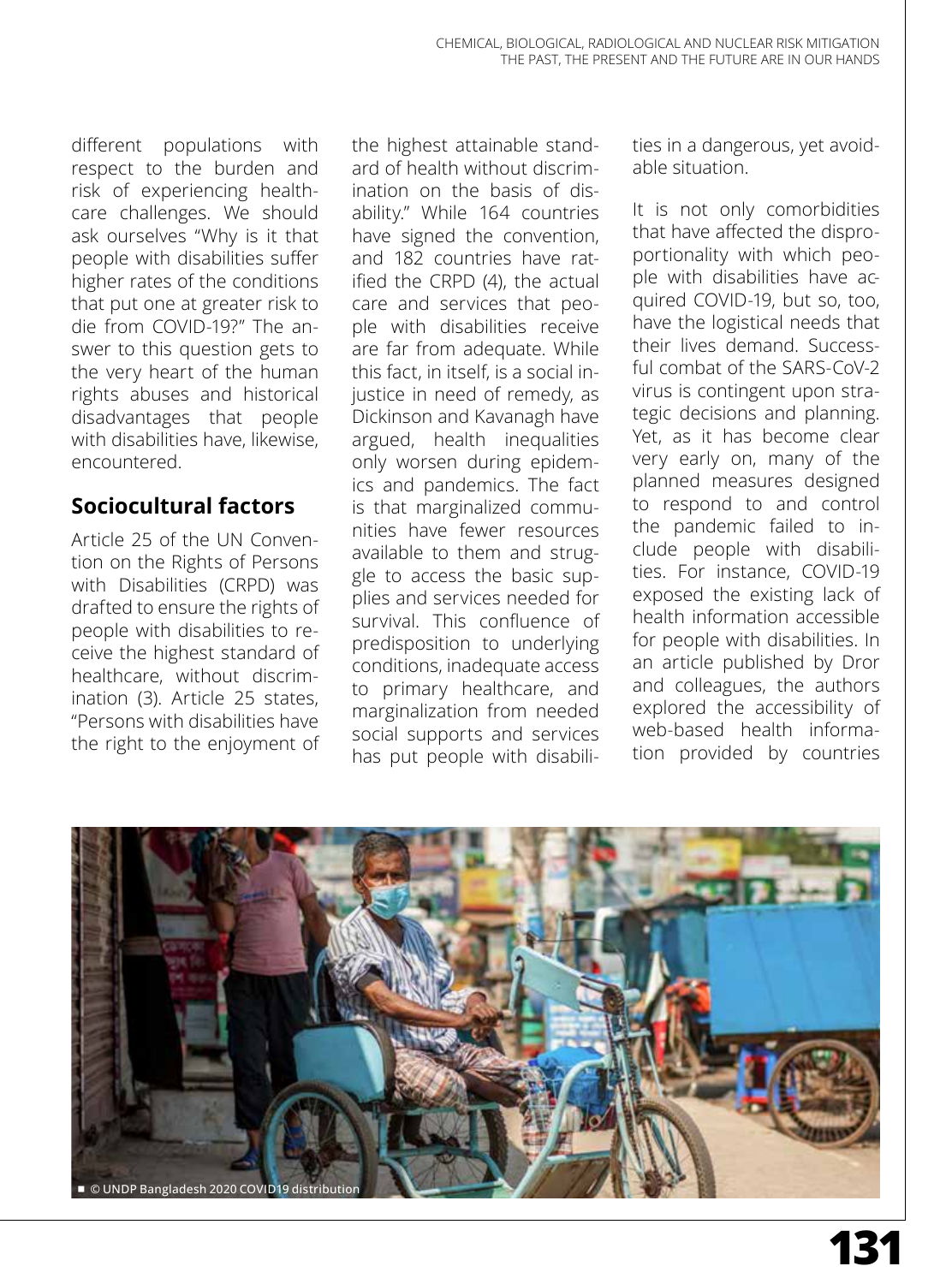different populations with respect to the burden and risk of experiencing healthcare challenges. We should ask ourselves "Why is it that people with disabilities suffer higher rates of the conditions that put one at greater risk to die from COVID-19?" The answer to this question gets to the very heart of the human rights abuses and historical disadvantages that people with disabilities have, likewise, encountered.

## **Sociocultural factors**

Article 25 of the UN Convention on the Rights of Persons with Disabilities (CRPD) was drafted to ensure the rights of people with disabilities to receive the highest standard of healthcare, without discrimination (3). Article 25 states, "Persons with disabilities have the right to the enjoyment of the highest attainable standard of health without discrimination on the basis of disability." While 164 countries have signed the convention, and 182 countries have ratified the CRPD (4), the actual care and services that people with disabilities receive are far from adequate. While this fact, in itself, is a social injustice in need of remedy, as Dickinson and Kavanagh have argued, health inequalities only worsen during epidemics and pandemics. The fact is that marginalized communities have fewer resources available to them and struggle to access the basic supplies and services needed for survival. This confluence of predisposition to underlying conditions, inadequate access to primary healthcare, and marginalization from needed social supports and services has put people with disabilities in a dangerous, yet avoidable situation.

It is not only comorbidities that have affected the disproportionality with which people with disabilities have acquired COVID-19, but so, too, have the logistical needs that their lives demand. Successful combat of the SARS-CoV-2 virus is contingent upon strategic decisions and planning. Yet, as it has become clear very early on, many of the planned measures designed to respond to and control the pandemic failed to include people with disabilities. For instance, COVID-19 exposed the existing lack of health information accessible for people with disabilities. In an article published by Dror and colleagues, the authors explored the accessibility of web-based health information provided by countries

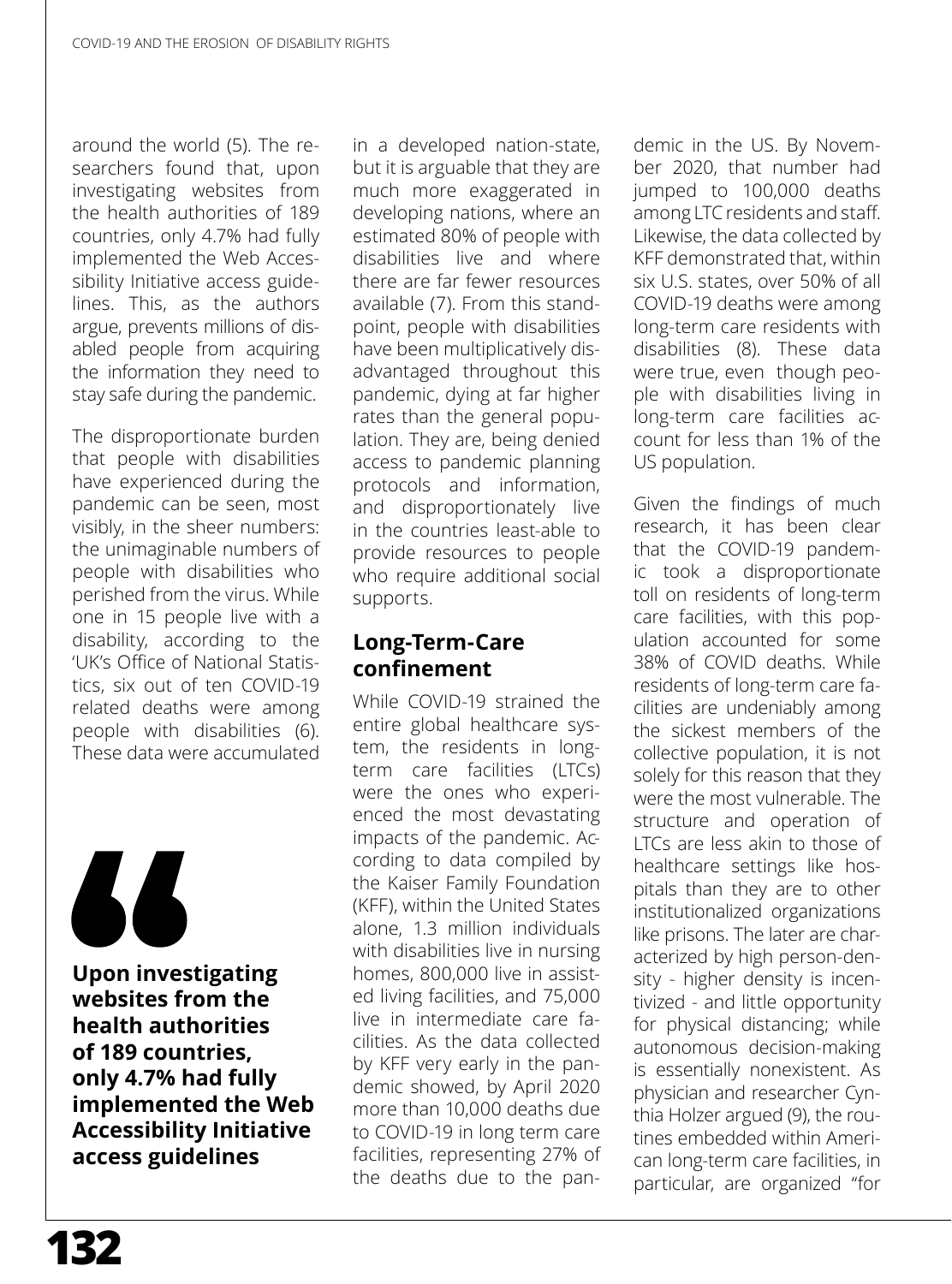around the world (5). The researchers found that, upon investigating websites from the health authorities of 189 countries, only 4.7% had fully implemented the Web Accessibility Initiative access guidelines. This, as the authors argue, prevents millions of disabled people from acquiring the information they need to stay safe during the pandemic.

The disproportionate burden that people with disabilities have experienced during the pandemic can be seen, most visibly, in the sheer numbers: the unimaginable numbers of people with disabilities who perished from the virus. While one in 15 people live with a disability, according to the 'UK's Office of National Statistics, six out of ten COVID-19 related deaths were among people with disabilities (6). These data were accumulated



**Upon investigating websites from the health authorities of 189 countries, only 4.7% had fully implemented the Web Accessibility Initiative access guidelines**

in a developed nation-state, but it is arguable that they are much more exaggerated in developing nations, where an estimated 80% of people with disabilities live and where there are far fewer resources available (7). From this standpoint, people with disabilities have been multiplicatively disadvantaged throughout this pandemic, dying at far higher rates than the general population. They are, being denied access to pandemic planning protocols and information, and disproportionately live in the countries least-able to provide resources to people who require additional social supports.

# **Long-Term-Care confinement**

While COVID-19 strained the entire global healthcare system, the residents in longterm care facilities (LTCs) were the ones who experienced the most devastating impacts of the pandemic. According to data compiled by the Kaiser Family Foundation (KFF), within the United States alone, 1.3 million individuals with disabilities live in nursing homes, 800,000 live in assisted living facilities, and 75,000 live in intermediate care facilities. As the data collected by KFF very early in the pandemic showed, by April 2020 more than 10,000 deaths due to COVID-19 in long term care facilities, representing 27% of the deaths due to the pan-

demic in the US. By November 2020, that number had jumped to 100,000 deaths among LTC residents and staff. Likewise, the data collected by KFF demonstrated that, within six U.S. states, over 50% of all COVID-19 deaths were among long-term care residents with disabilities (8). These data were true, even though people with disabilities living in long-term care facilities account for less than 1% of the US population.

Given the findings of much research, it has been clear that the COVID-19 pandemic took a disproportionate toll on residents of long-term care facilities, with this population accounted for some 38% of COVID deaths. While residents of long-term care facilities are undeniably among the sickest members of the collective population, it is not solely for this reason that they were the most vulnerable. The structure and operation of LTCs are less akin to those of healthcare settings like hospitals than they are to other institutionalized organizations like prisons. The later are characterized by high person-density - higher density is incentivized - and little opportunity for physical distancing; while autonomous decision-making is essentially nonexistent. As physician and researcher Cynthia Holzer argued (9), the routines embedded within American long-term care facilities, in particular, are organized "for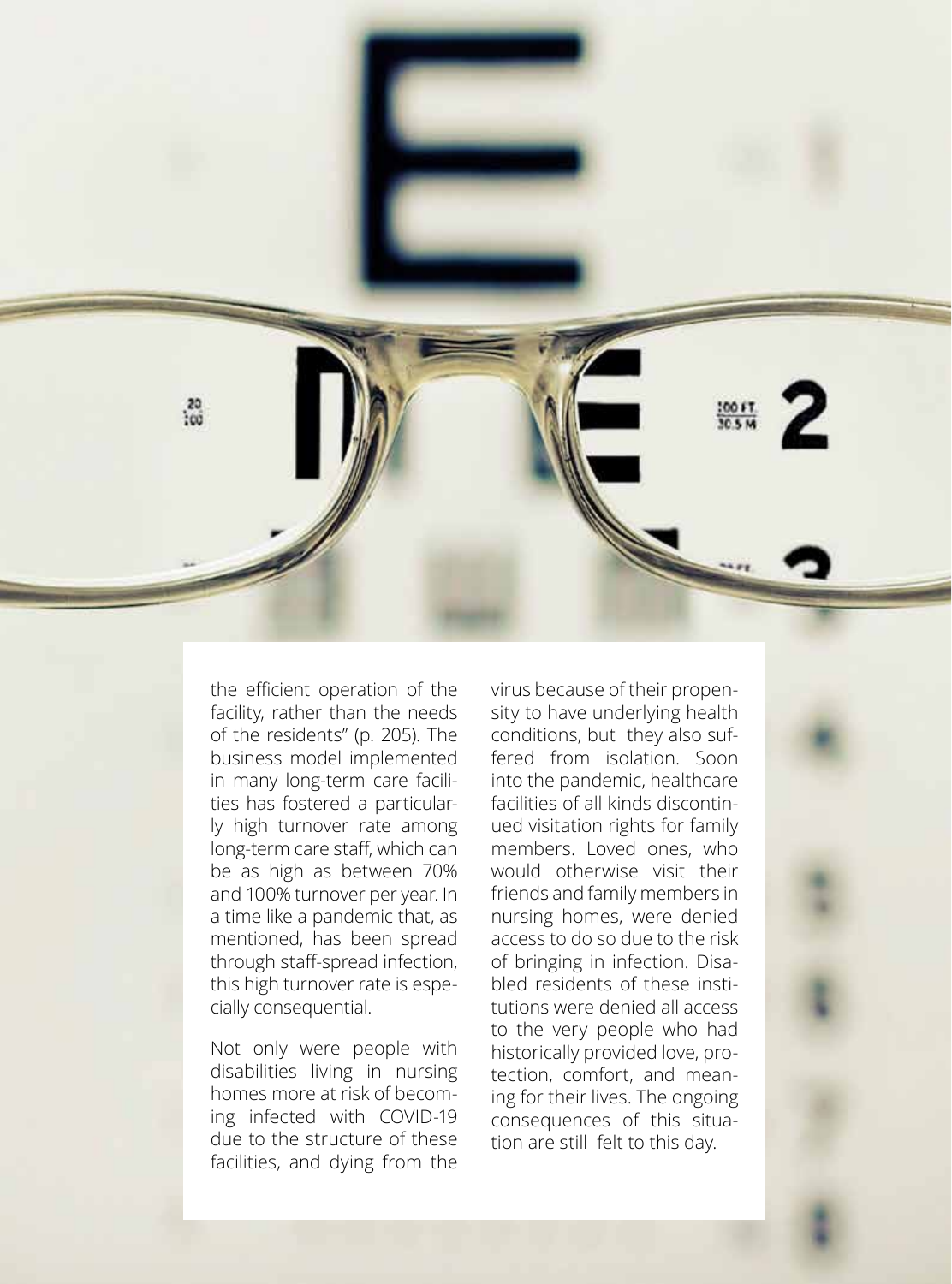

the efficient operation of the facility, rather than the needs of the residents" (p. 205). The business model implemented in many long-term care facilities has fostered a particularly high turnover rate among long-term care staff, which can be as high as between 70% and 100% turnover per year. In a time like a pandemic that, as mentioned, has been spread through staff-spread infection, this high turnover rate is especially consequential.

Not only were people with disabilities living in nursing homes more at risk of becoming infected with COVID-19 due to the structure of these facilities, and dying from the virus because of their propensity to have underlying health conditions, but they also suffered from isolation. Soon into the pandemic, healthcare facilities of all kinds discontinued visitation rights for family members. Loved ones, who would otherwise visit their friends and family members in nursing homes, were denied access to do so due to the risk of bringing in infection. Disabled residents of these institutions were denied all access to the very people who had historically provided love, protection, comfort, and meaning for their lives. The ongoing consequences of this situation are still felt to this day.

**133**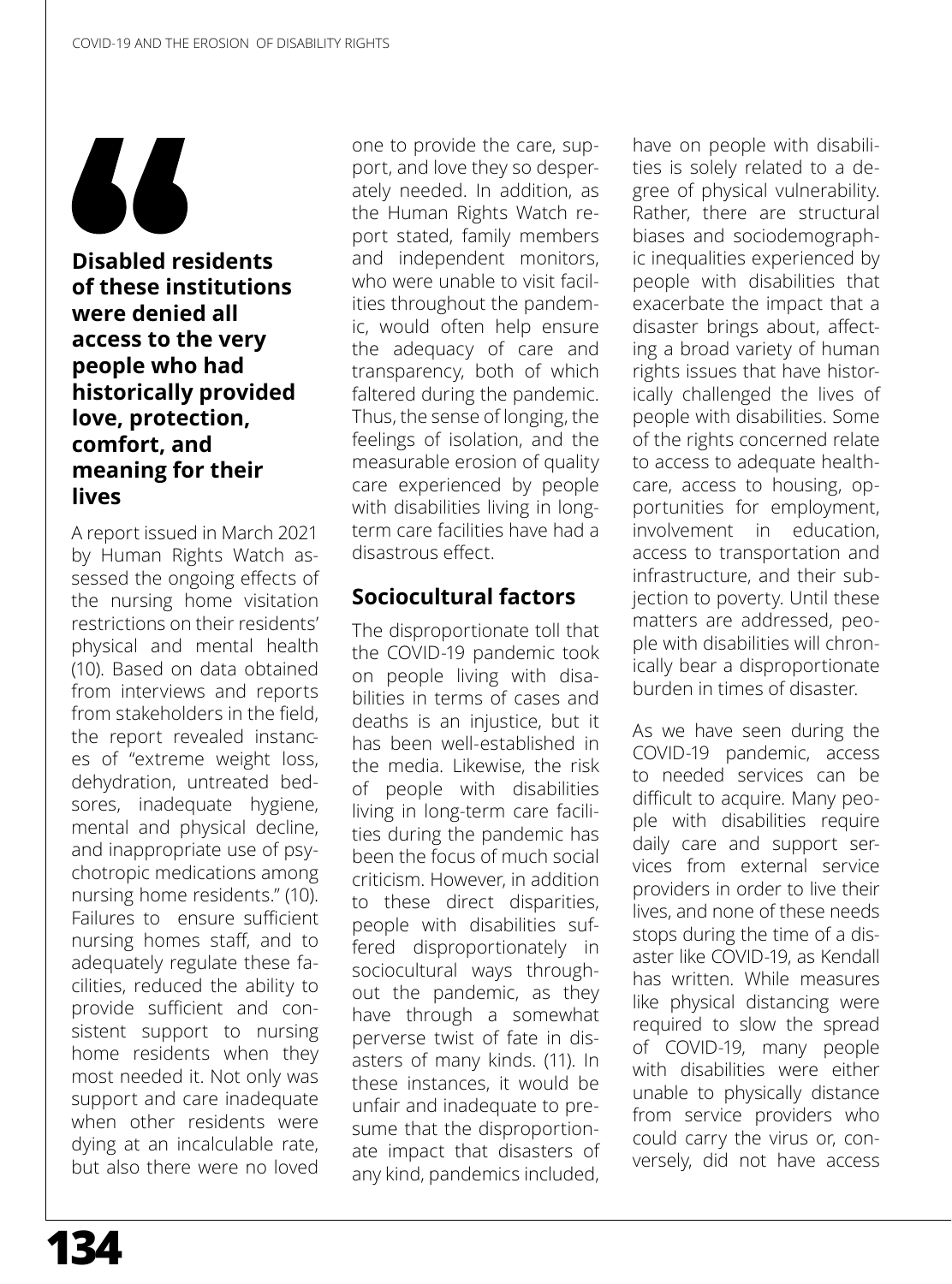

**Disabled residents of these institutions were denied all access to the very people who had historically provided love, protection, comfort, and meaning for their lives**

A report issued in March 2021 by Human Rights Watch assessed the ongoing effects of the nursing home visitation restrictions on their residents' physical and mental health (10). Based on data obtained from interviews and reports from stakeholders in the field, the report revealed instances of "extreme weight loss, dehydration, untreated bedsores, inadequate hygiene, mental and physical decline, and inappropriate use of psychotropic medications among nursing home residents." (10). Failures to ensure sufficient nursing homes staff, and to adequately regulate these facilities, reduced the ability to provide sufficient and consistent support to nursing home residents when they most needed it. Not only was support and care inadequate when other residents were dying at an incalculable rate, but also there were no loved

one to provide the care, support, and love they so desperately needed. In addition, as the Human Rights Watch report stated, family members and independent monitors, who were unable to visit facilities throughout the pandemic, would often help ensure the adequacy of care and transparency, both of which faltered during the pandemic. Thus, the sense of longing, the feelings of isolation, and the measurable erosion of quality care experienced by people with disabilities living in longterm care facilities have had a disastrous effect.

### **Sociocultural factors**

The disproportionate toll that the COVID-19 pandemic took on people living with disabilities in terms of cases and deaths is an injustice, but it has been well-established in the media. Likewise, the risk of people with disabilities living in long-term care facilities during the pandemic has been the focus of much social criticism. However, in addition to these direct disparities, people with disabilities suffered disproportionately in sociocultural ways throughout the pandemic, as they have through a somewhat perverse twist of fate in disasters of many kinds. (11). In these instances, it would be unfair and inadequate to presume that the disproportionate impact that disasters of any kind, pandemics included,

have on people with disabilities is solely related to a degree of physical vulnerability. Rather, there are structural biases and sociodemographic inequalities experienced by people with disabilities that exacerbate the impact that a disaster brings about, affecting a broad variety of human rights issues that have historically challenged the lives of people with disabilities. Some of the rights concerned relate to access to adequate healthcare, access to housing, opportunities for employment, involvement in education, access to transportation and infrastructure, and their subjection to poverty. Until these matters are addressed, people with disabilities will chronically bear a disproportionate burden in times of disaster.

As we have seen during the COVID-19 pandemic, access to needed services can be difficult to acquire. Many people with disabilities require daily care and support services from external service providers in order to live their lives, and none of these needs stops during the time of a disaster like COVID-19, as Kendall has written. While measures like physical distancing were required to slow the spread of COVID-19, many people with disabilities were either unable to physically distance from service providers who could carry the virus or, conversely, did not have access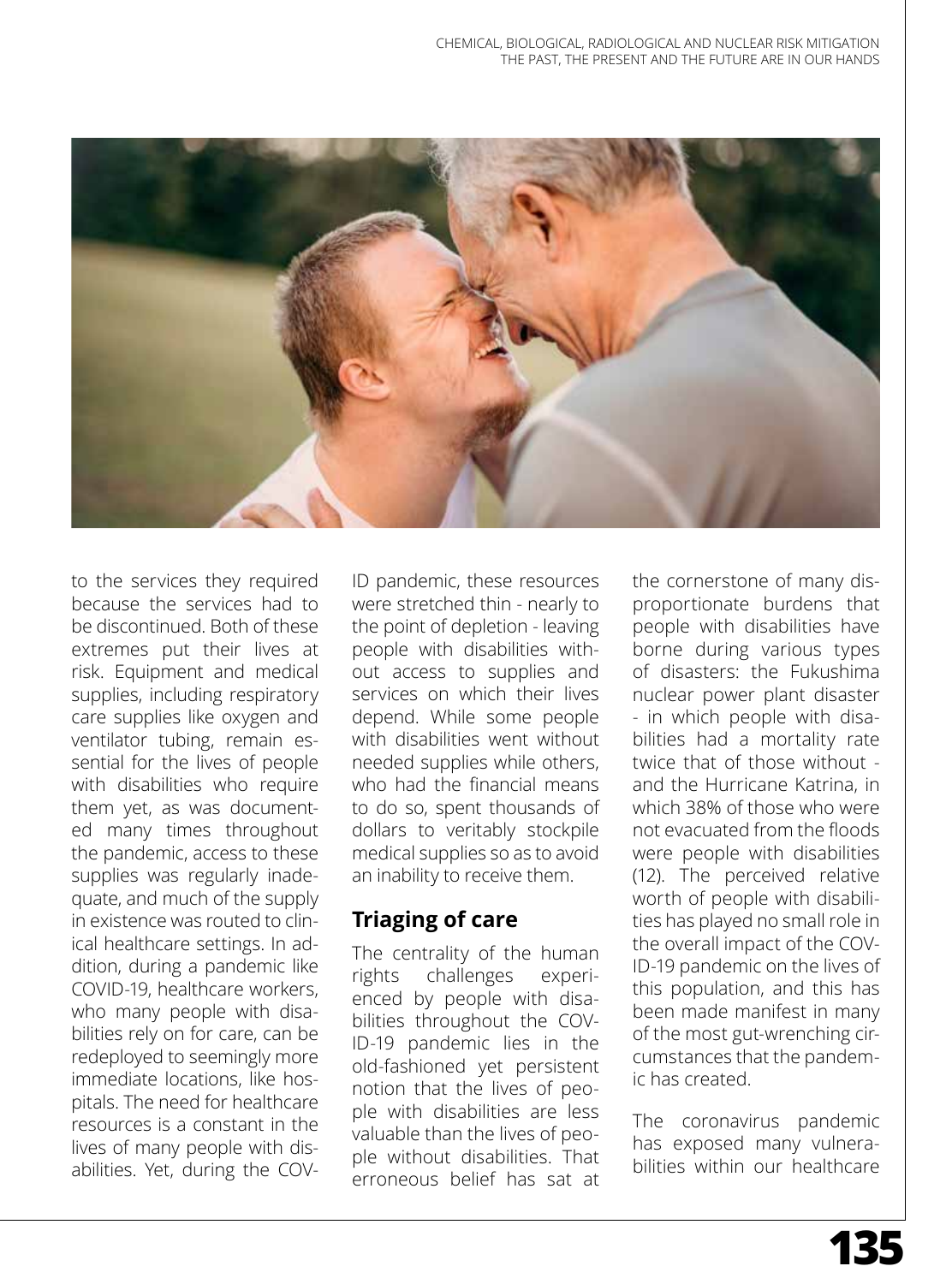

to the services they required because the services had to be discontinued. Both of these extremes put their lives at risk. Equipment and medical supplies, including respiratory care supplies like oxygen and ventilator tubing, remain essential for the lives of people with disabilities who require them yet, as was documented many times throughout the pandemic, access to these supplies was regularly inadequate, and much of the supply in existence was routed to clinical healthcare settings. In addition, during a pandemic like COVID-19, healthcare workers, who many people with disabilities rely on for care, can be redeployed to seemingly more immediate locations, like hospitals. The need for healthcare resources is a constant in the lives of many people with disabilities. Yet, during the COV-

ID pandemic, these resources were stretched thin - nearly to the point of depletion - leaving people with disabilities without access to supplies and services on which their lives depend. While some people with disabilities went without needed supplies while others, who had the financial means to do so, spent thousands of dollars to veritably stockpile medical supplies so as to avoid an inability to receive them.

### **Triaging of care**

The centrality of the human rights challenges experienced by people with disabilities throughout the COV-ID-19 pandemic lies in the old-fashioned yet persistent notion that the lives of people with disabilities are less valuable than the lives of people without disabilities. That erroneous belief has sat at the cornerstone of many disproportionate burdens that people with disabilities have borne during various types of disasters: the Fukushima nuclear power plant disaster - in which people with disabilities had a mortality rate twice that of those without and the Hurricane Katrina, in which 38% of those who were not evacuated from the floods were people with disabilities (12). The perceived relative worth of people with disabilities has played no small role in the overall impact of the COV-ID-19 pandemic on the lives of this population, and this has been made manifest in many of the most gut-wrenching circumstances that the pandemic has created.

The coronavirus pandemic has exposed many vulnerabilities within our healthcare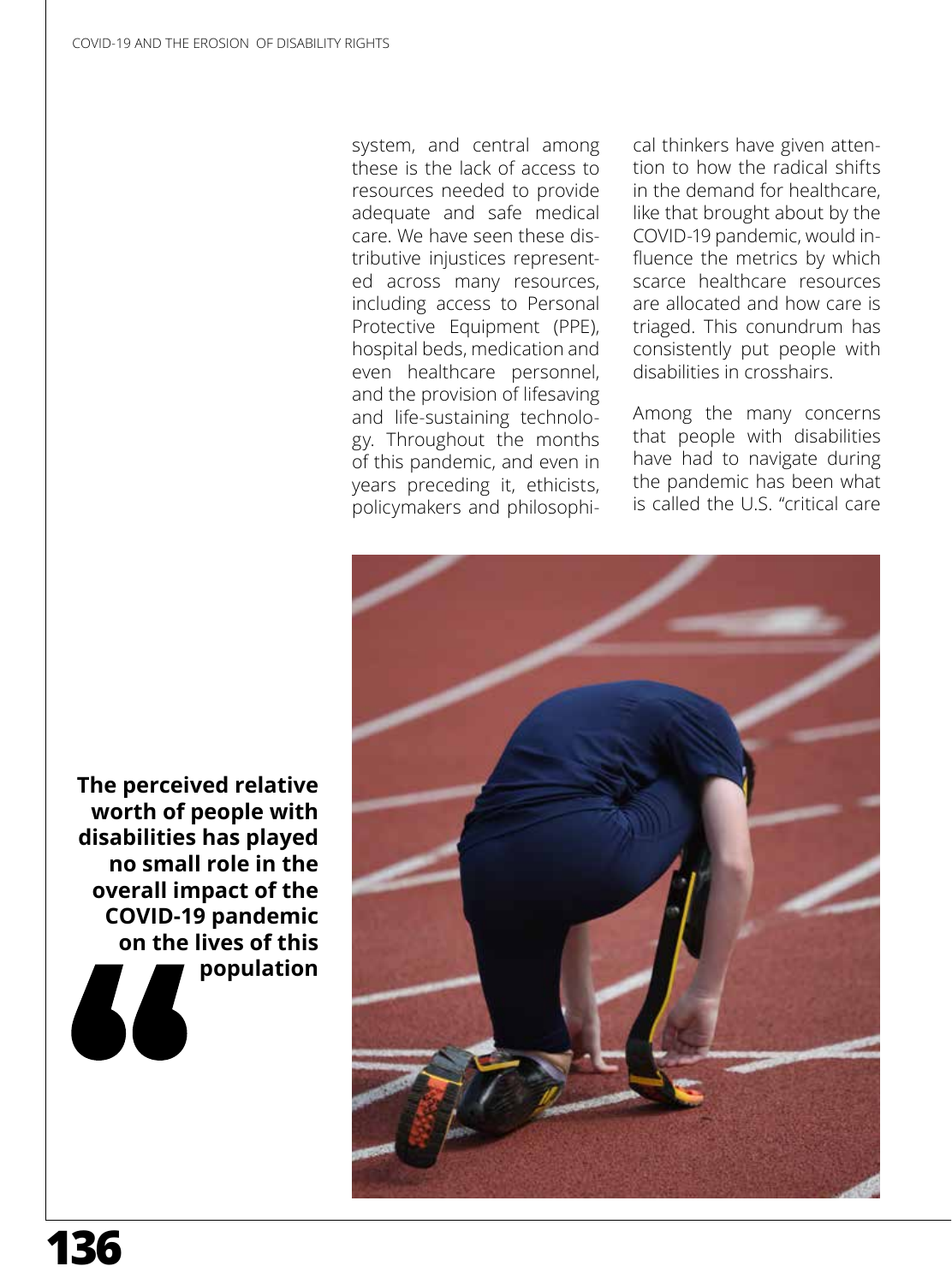system, and central among these is the lack of access to resources needed to provide adequate and safe medical care. We have seen these distributive injustices represented across many resources, including access to Personal Protective Equipment (PPE), hospital beds, medication and even healthcare personnel, and the provision of lifesaving and life-sustaining technology. Throughout the months of this pandemic, and even in years preceding it, ethicists, policymakers and philosophi-

cal thinkers have given attention to how the radical shifts in the demand for healthcare, like that brought about by the COVID-19 pandemic, would influence the metrics by which scarce healthcare resources are allocated and how care is triaged. This conundrum has consistently put people with disabilities in crosshairs.

Among the many concerns that people with disabilities have had to navigate during the pandemic has been what is called the U.S. "critical care



**The perceived relative worth of people with disabilities has played no small role in the overall impact of the COVID-19 pandemic on the lives of this population**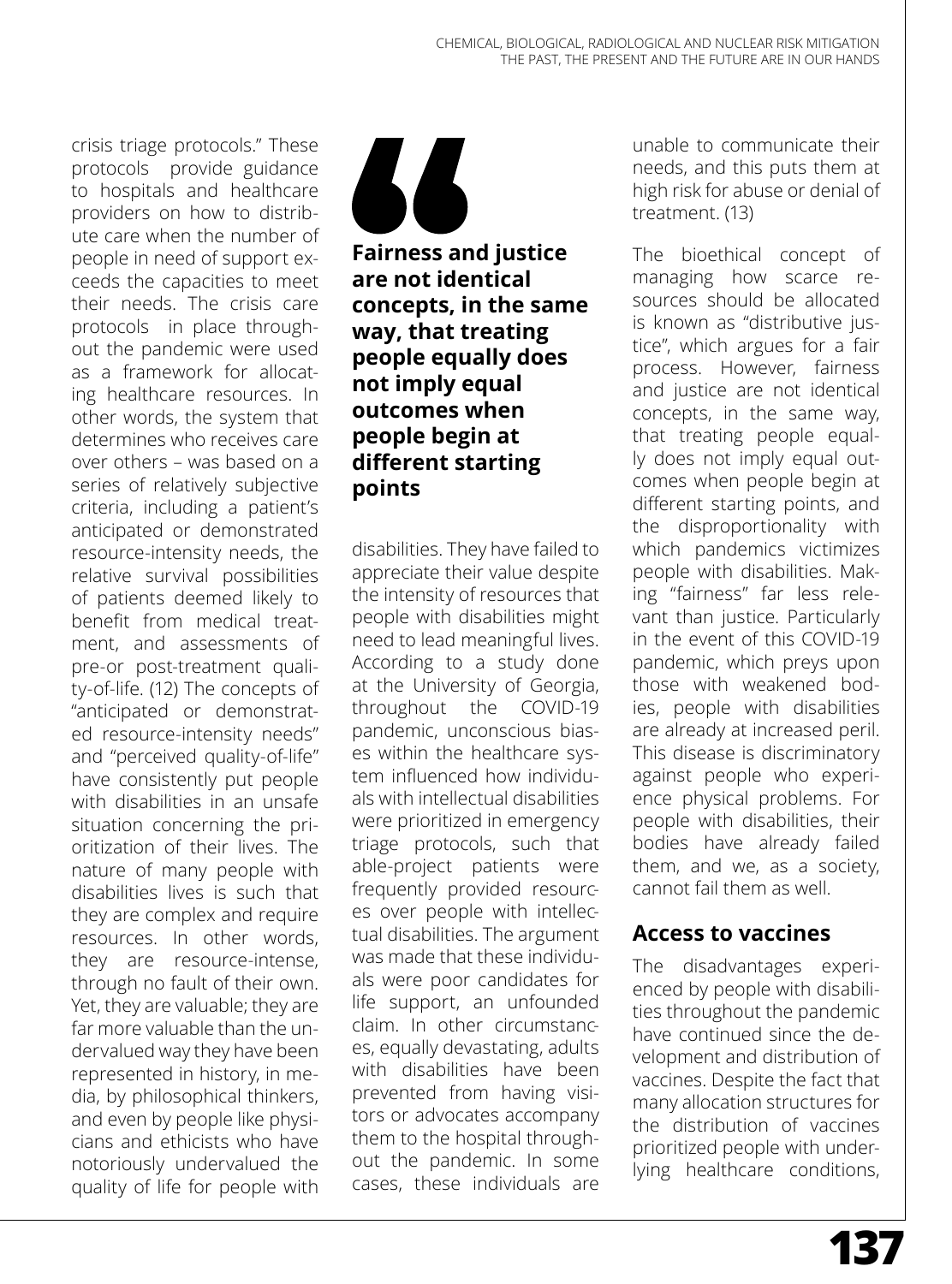crisis triage protocols." These protocols provide guidance to hospitals and healthcare providers on how to distribute care when the number of people in need of support exceeds the capacities to meet their needs. The crisis care protocols in place throughout the pandemic were used as a framework for allocating healthcare resources. In other words, the system that determines who receives care over others – was based on a series of relatively subjective criteria, including a patient's anticipated or demonstrated resource-intensity needs, the relative survival possibilities of patients deemed likely to benefit from medical treatment, and assessments of pre-or post-treatment quality-of-life. (12) The concepts of "anticipated or demonstrated resource-intensity needs" and "perceived quality-of-life" have consistently put people with disabilities in an unsafe situation concerning the prioritization of their lives. The nature of many people with disabilities lives is such that they are complex and require resources. In other words, they are resource-intense, through no fault of their own. Yet, they are valuable; they are far more valuable than the undervalued way they have been represented in history, in media, by philosophical thinkers, and even by people like physicians and ethicists who have notoriously undervalued the quality of life for people with



**Fairness and justice are not identical concepts, in the same way, that treating people equally does not imply equal outcomes when people begin at different starting points**

disabilities. They have failed to appreciate their value despite the intensity of resources that people with disabilities might need to lead meaningful lives. According to a study done at the University of Georgia, throughout the COVID-19 pandemic, unconscious biases within the healthcare system influenced how individuals with intellectual disabilities were prioritized in emergency triage protocols, such that able-project patients were frequently provided resources over people with intellectual disabilities. The argument was made that these individuals were poor candidates for life support, an unfounded claim. In other circumstances, equally devastating, adults with disabilities have been prevented from having visitors or advocates accompany them to the hospital throughout the pandemic. In some cases, these individuals are

unable to communicate their needs, and this puts them at high risk for abuse or denial of treatment. (13)

The bioethical concept of managing how scarce resources should be allocated is known as "distributive justice", which argues for a fair process. However, fairness and justice are not identical concepts, in the same way, that treating people equally does not imply equal outcomes when people begin at different starting points, and the disproportionality with which pandemics victimizes people with disabilities. Making "fairness" far less relevant than justice. Particularly in the event of this COVID-19 pandemic, which preys upon those with weakened bodies, people with disabilities are already at increased peril. This disease is discriminatory against people who experience physical problems. For people with disabilities, their bodies have already failed them, and we, as a society, cannot fail them as well.

#### **Access to vaccines**

The disadvantages experienced by people with disabilities throughout the pandemic have continued since the development and distribution of vaccines. Despite the fact that many allocation structures for the distribution of vaccines prioritized people with underlying healthcare conditions,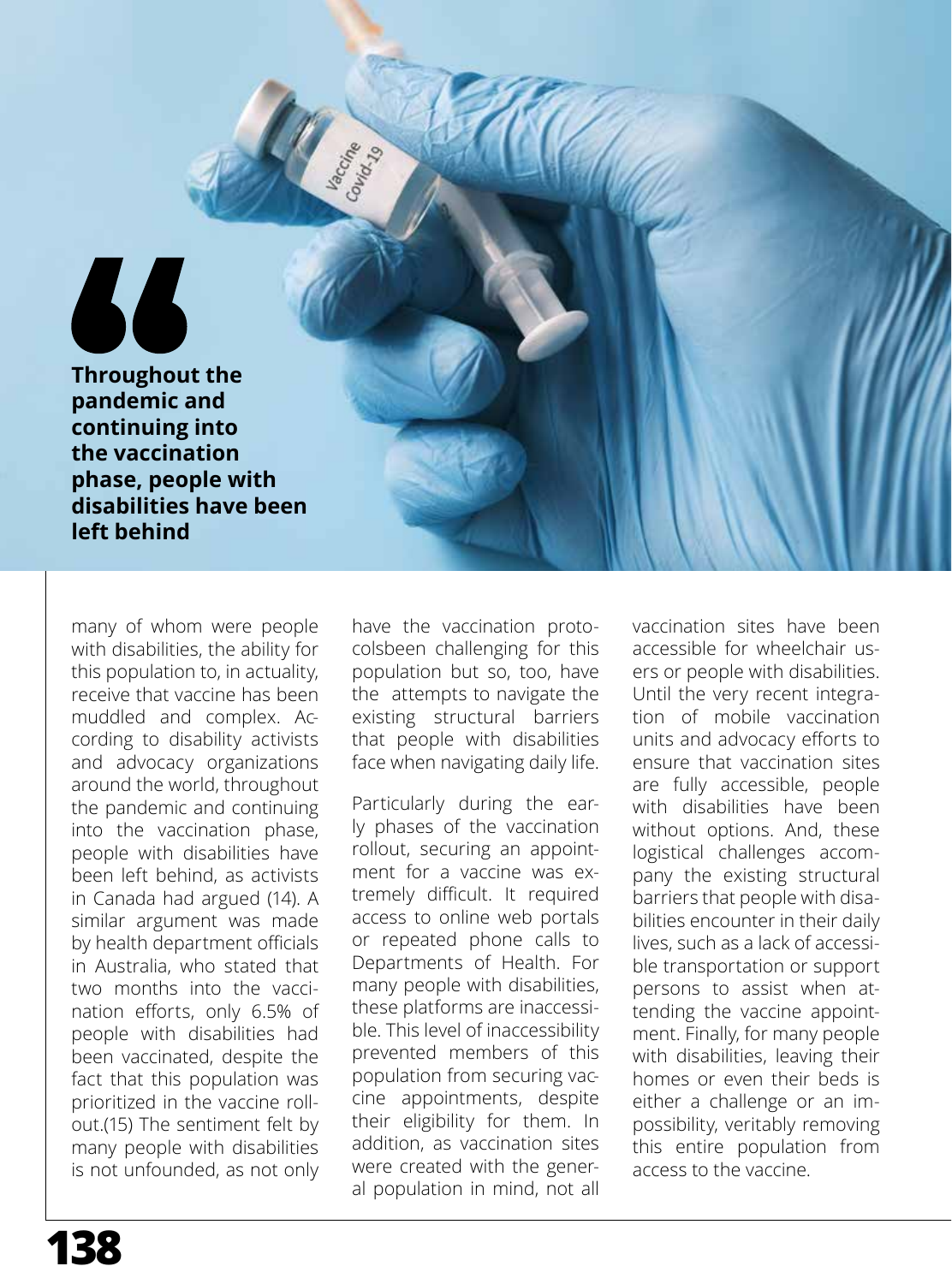**Throughout the pandemic and continuing into the vaccination phase, people with disabilities have been left behind**

66

Vacoine<br>Coura de

many of whom were people with disabilities, the ability for this population to, in actuality, receive that vaccine has been muddled and complex. According to disability activists and advocacy organizations around the world, throughout the pandemic and continuing into the vaccination phase, people with disabilities have been left behind, as activists in Canada had argued (14). A similar argument was made by health department officials in Australia, who stated that two months into the vaccination efforts, only 6.5% of people with disabilities had been vaccinated, despite the fact that this population was prioritized in the vaccine rollout.(15) The sentiment felt by many people with disabilities is not unfounded, as not only

have the vaccination protocolsbeen challenging for this population but so, too, have the attempts to navigate the existing structural barriers that people with disabilities face when navigating daily life.

Particularly during the early phases of the vaccination rollout, securing an appointment for a vaccine was extremely difficult. It required access to online web portals or repeated phone calls to Departments of Health. For many people with disabilities, these platforms are inaccessible. This level of inaccessibility prevented members of this population from securing vaccine appointments, despite their eligibility for them. In addition, as vaccination sites were created with the general population in mind, not all

vaccination sites have been accessible for wheelchair users or people with disabilities. Until the very recent integration of mobile vaccination units and advocacy efforts to ensure that vaccination sites are fully accessible, people with disabilities have been without options. And, these logistical challenges accompany the existing structural barriers that people with disabilities encounter in their daily lives, such as a lack of accessible transportation or support persons to assist when attending the vaccine appointment. Finally, for many people with disabilities, leaving their homes or even their beds is either a challenge or an impossibility, veritably removing this entire population from access to the vaccine.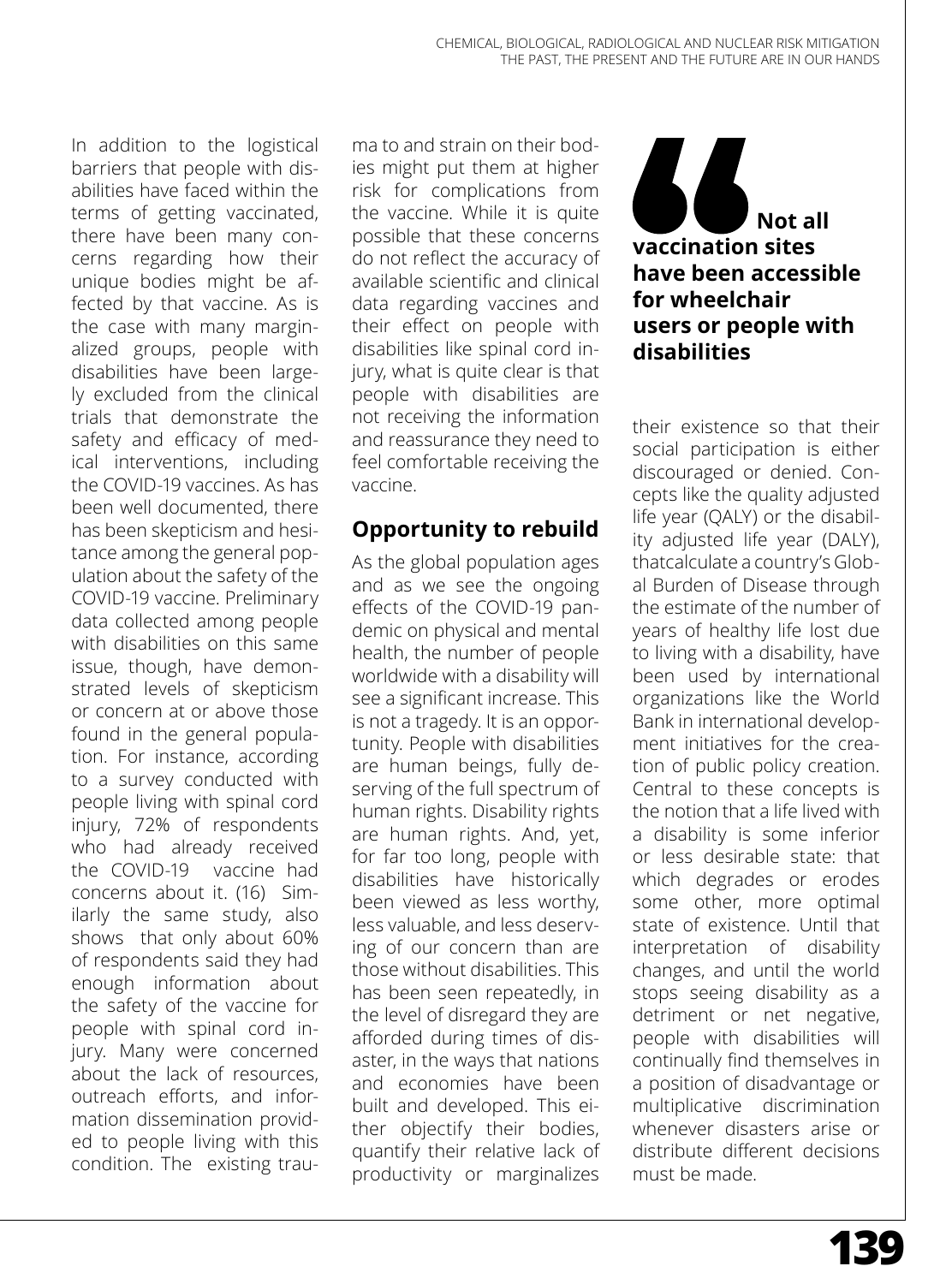In addition to the logistical barriers that people with disabilities have faced within the terms of getting vaccinated, there have been many concerns regarding how their unique bodies might be affected by that vaccine. As is the case with many marginalized groups, people with disabilities have been largely excluded from the clinical trials that demonstrate the safety and efficacy of medical interventions, including the COVID-19 vaccines. As has been well documented, there has been skepticism and hesitance among the general population about the safety of the COVID-19 vaccine. Preliminary data collected among people with disabilities on this same issue, though, have demonstrated levels of skepticism or concern at or above those found in the general population. For instance, according to a survey conducted with people living with spinal cord injury, 72% of respondents who had already received the COVID-19 vaccine had concerns about it. (16) Similarly the same study, also shows that only about 60% of respondents said they had enough information about the safety of the vaccine for people with spinal cord injury. Many were concerned about the lack of resources, outreach efforts, and information dissemination provided to people living with this condition. The existing trau-

ma to and strain on their bodies might put them at higher risk for complications from the vaccine. While it is quite possible that these concerns do not reflect the accuracy of available scientific and clinical data regarding vaccines and their effect on people with disabilities like spinal cord injury, what is quite clear is that people with disabilities are not receiving the information and reassurance they need to feel comfortable receiving the vaccine.

### **Opportunity to rebuild**

As the global population ages and as we see the ongoing effects of the COVID-19 pandemic on physical and mental health, the number of people worldwide with a disability will see a significant increase. This is not a tragedy. It is an opportunity. People with disabilities are human beings, fully deserving of the full spectrum of human rights. Disability rights are human rights. And, yet, for far too long, people with disabilities have historically been viewed as less worthy, less valuable, and less deserving of our concern than are those without disabilities. This has been seen repeatedly, in the level of disregard they are afforded during times of disaster, in the ways that nations and economies have been built and developed. This either objectify their bodies, quantify their relative lack of productivity or marginalizes

56 **Not all vaccination sites have been accessible for wheelchair users or people with disabilities**

their existence so that their social participation is either discouraged or denied. Concepts like the quality adjusted life year (QALY) or the disability adjusted life year (DALY), thatcalculate a country's Global Burden of Disease through the estimate of the number of years of healthy life lost due to living with a disability, have been used by international organizations like the World Bank in international development initiatives for the creation of public policy creation. Central to these concepts is the notion that a life lived with a disability is some inferior or less desirable state: that which degrades or erodes some other, more optimal state of existence. Until that interpretation of disability changes, and until the world stops seeing disability as a detriment or net negative, people with disabilities will continually find themselves in a position of disadvantage or multiplicative discrimination whenever disasters arise or distribute different decisions must be made.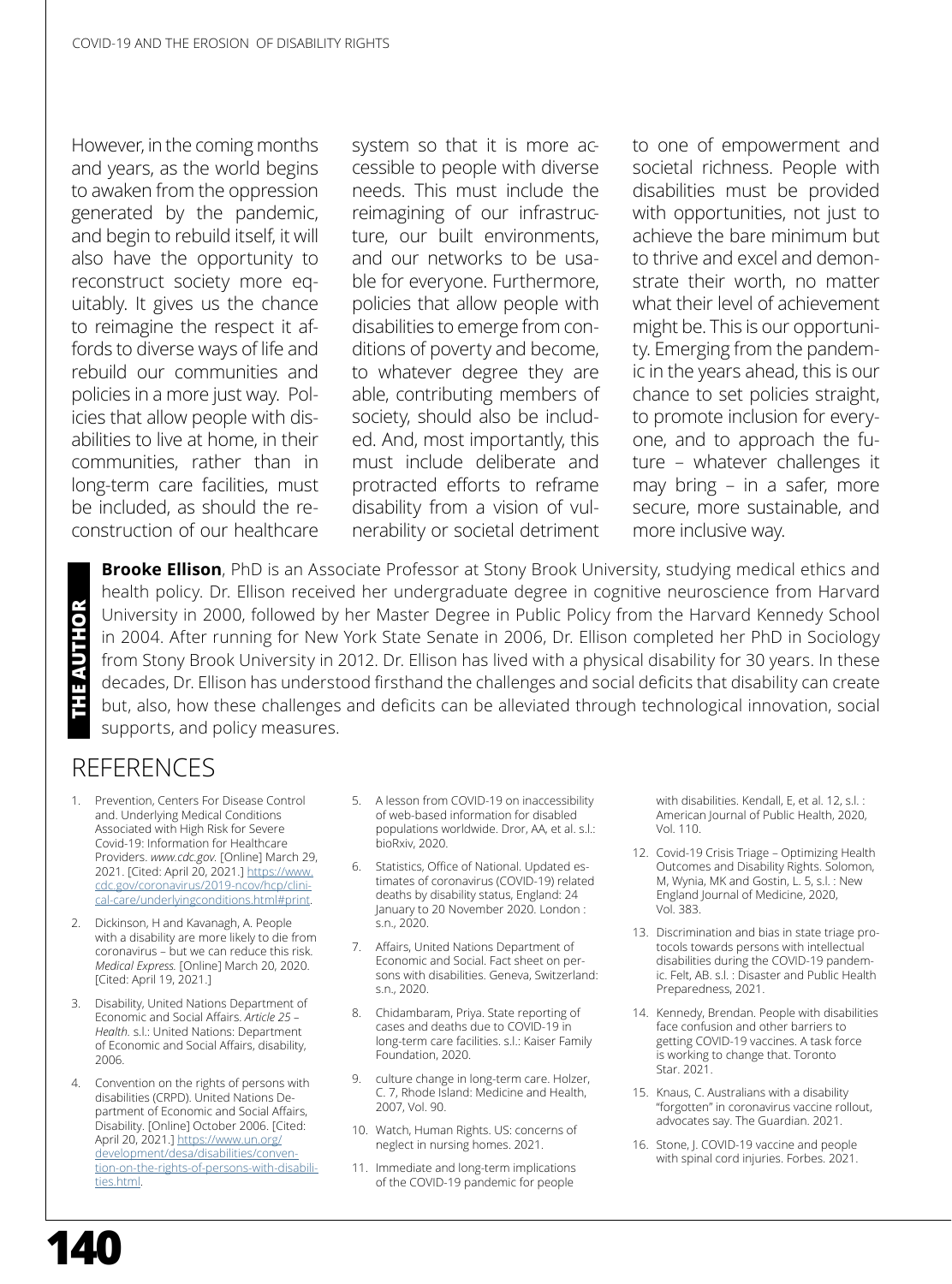However, in the coming months and years, as the world begins to awaken from the oppression generated by the pandemic, and begin to rebuild itself, it will also have the opportunity to reconstruct society more equitably. It gives us the chance to reimagine the respect it affords to diverse ways of life and rebuild our communities and policies in a more just way. Policies that allow people with disabilities to live at home, in their communities, rather than in long-term care facilities, must be included, as should the reconstruction of our healthcare

system so that it is more accessible to people with diverse needs. This must include the reimagining of our infrastructure, our built environments, and our networks to be usable for everyone. Furthermore, policies that allow people with disabilities to emerge from conditions of poverty and become, to whatever degree they are able, contributing members of society, should also be included. And, most importantly, this must include deliberate and protracted efforts to reframe disability from a vision of vulnerability or societal detriment

to one of empowerment and societal richness. People with disabilities must be provided with opportunities, not just to achieve the bare minimum but to thrive and excel and demonstrate their worth, no matter what their level of achievement might be. This is our opportunity. Emerging from the pandemic in the years ahead, this is our chance to set policies straight, to promote inclusion for everyone, and to approach the future – whatever challenges it may bring – in a safer, more secure, more sustainable, and more inclusive way.

**Brooke Ellison**, PhD is an Associate Professor at Stony Brook University, studying medical ethics and health policy. Dr. Ellison received her undergraduate degree in cognitive neuroscience from Harvard University in 2000, followed by her Master Degree in Public Policy from the Harvard Kennedy School in 2004. After running for New York State Senate in 2006, Dr. Ellison completed her PhD in Sociology from Stony Brook University in 2012. Dr. Ellison has lived with a physical disability for 30 years. In these decades, Dr. Ellison has understood firsthand the challenges and social deficits that disability can create but, also, how these challenges and deficits can be alleviated through technological innovation, social supports, and policy measures.

# **REFERENCES**

**THE AUTHOR**

**EAUTHOR** 

- 1. Prevention, Centers For Disease Control and. Underlying Medical Conditions Associated with High Risk for Severe Covid-19: Information for Healthcare Providers. *www.cdc.gov.* [Online] March 29, 2021. [Cited: April 20, 2021.] [https://www.](https://www.cdc.gov/coronavirus/2019-ncov/hcp/clinical-care/underlyingconditions.html#print) [cdc.gov/coronavirus/2019-ncov/hcp/clini](https://www.cdc.gov/coronavirus/2019-ncov/hcp/clinical-care/underlyingconditions.html#print)[cal-care/underlyingconditions.html#print.](https://www.cdc.gov/coronavirus/2019-ncov/hcp/clinical-care/underlyingconditions.html#print)
- 2. Dickinson, H and Kavanagh, A. People with a disability are more likely to die from coronavirus – but we can reduce this risk. *Medical Express.* [Online] March 20, 2020. [Cited: April 19, 2021.]
- 3. Disability, United Nations Department of Economic and Social Affairs. *Article 25 – Health.* s.l.: United Nations: Department of Economic and Social Affairs, disability, 2006.
- 4. Convention on the rights of persons with disabilities (CRPD). United Nations Department of Economic and Social Affairs, Disability. [Online] October 2006. [Cited: April 20, 2021.] [https://www.un.org/](https://www.un.org/development/desa/disabilities/convention-on-the-rights-of-persons-with-disabiliti) [development/desa/disabilities/conven](https://www.un.org/development/desa/disabilities/convention-on-the-rights-of-persons-with-disabiliti)[tion-on-the-rights-of-persons-with-disabili](https://www.un.org/development/desa/disabilities/convention-on-the-rights-of-persons-with-disabiliti)[ties.html.](https://www.un.org/development/desa/disabilities/convention-on-the-rights-of-persons-with-disabiliti)

**140**

- 5. A lesson from COVID-19 on inaccessibility of web-based information for disabled populations worldwide. Dror, AA, et al. s.l.: bioRxiv, 2020.
- 6. Statistics, Office of National. Updated estimates of coronavirus (COVID-19) related deaths by disability status, England: 24 January to 20 November 2020. London : s.n., 2020.
- 7. Affairs, United Nations Department of Economic and Social. Fact sheet on persons with disabilities. Geneva, Switzerland: s.n., 2020.
- 8. Chidambaram, Priya. State reporting of cases and deaths due to COVID-19 in long-term care facilities. s.l.: Kaiser Family Foundation, 2020.
- 9. culture change in long-term care. Holzer, C. 7, Rhode Island: Medicine and Health, 2007, Vol. 90.
- 10. Watch, Human Rights. US: concerns of neglect in nursing homes. 2021.
- 11. Immediate and long-term implications of the COVID-19 pandemic for people

with disabilities. Kendall, E, et al. 12, s.l. : American Journal of Public Health, 2020, Vol. 110.

- 12. Covid-19 Crisis Triage Optimizing Health Outcomes and Disability Rights. Solomon, M, Wynia, MK and Gostin, L. 5, s.l. : New England Journal of Medicine, 2020, Vol. 383.
- 13. Discrimination and bias in state triage protocols towards persons with intellectual disabilities during the COVID-19 pandemic. Felt, AB. s.l. : Disaster and Public Health Preparedness, 2021.
- 14. Kennedy, Brendan. People with disabilities face confusion and other barriers to getting COVID-19 vaccines. A task force is working to change that. Toronto Star. 2021.
- 15. Knaus, C. Australians with a disability "forgotten" in coronavirus vaccine rollout, advocates say. The Guardian. 2021.
- 16. Stone, J. COVID-19 vaccine and people with spinal cord injuries. Forbes. 2021.